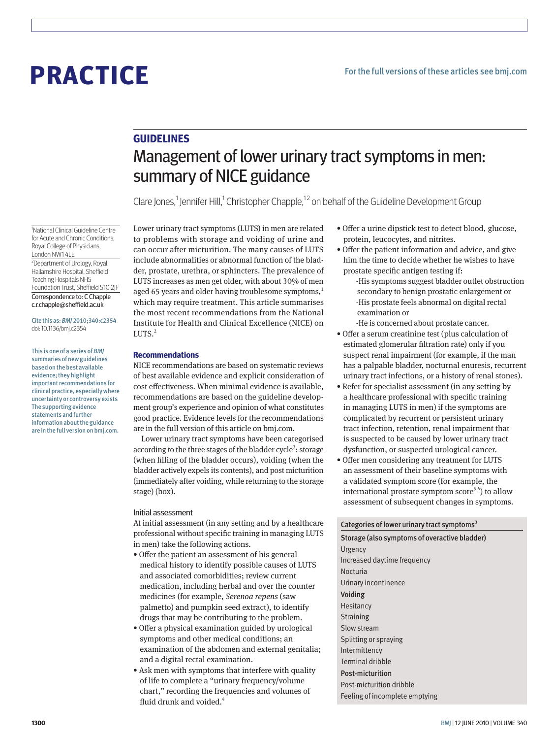# **PRACTICE** For the full versions of these articles see bmj.com

### **Guidelines**

# Management of lower urinary tract symptoms in men: summary of NICE guidance

Clare Jones,<sup>1</sup> Jennifer Hill,<sup>1</sup> Christopher Chapple,<sup>12</sup> on behalf of the Guideline Development Group

1 National Clinical Guideline Centre for Acute and Chronic Conditions, Royal College of Physicians, London NW1 4LE 2 Department of Urology, Royal Hallamshire Hospital, Sheffield Teaching Hospitals NHS Foundation Trust, Sheffield S10 2JF Correspondence to: C Chapple c.r.chapple@sheffield.ac.uk

Cite this as: *BMJ* 2010;340:c2354 doi: 10.1136/bmj.c2354

This is one of a series of *BMJ* summaries of new guidelines based on the best available evidence; they highlight important recommendations for clinical practice, especially where uncertainty or controversy exists The supporting evidence statements and further information about the guidance are in the full version on bmj.com.

Lower urinary tract symptoms (LUTS) in men are related to problems with storage and voiding of urine and can occur after micturition. The many causes of LUTS include abnormalities or abnormal function of the bladder, prostate, urethra, or sphincters. The prevalence of LUTS increases as men get older, with about 30% of men aged 65 years and older having troublesome symptoms,<sup>1</sup> which may require treatment. This article summarises the most recent recommendations from the National Institute for Health and Clinical Excellence (NICE) on LUTS $<sup>2</sup>$ </sup>

#### **Recommendations**

NICE recommendations are based on systematic reviews of best available evidence and explicit consideration of cost effectiveness. When minimal evidence is available, recommendations are based on the guideline development group's experience and opinion of what constitutes good practice. Evidence levels for the recommendations are in the full version of this article on bmj.com.

Lower urinary tract symptoms have been categorised according to the three stages of the bladder cycle<sup>3</sup>: storage (when filling of the bladder occurs), voiding (when the bladder actively expels its contents), and post micturition (immediately after voiding, while returning to the storage stage) (box).

#### Initial assessment

At initial assessment (in any setting and by a healthcare professional without specific training in managing LUTS in men) take the following actions.

- Offer the patient an assessment of his general medical history to identify possible causes of LUTS and associated comorbidities; review current medication, including herbal and over the counter medicines (for example, *Serenoa repens* (saw palmetto) and pumpkin seed extract), to identify drugs that may be contributing to the problem.
- Offer a physical examination guided by urological symptoms and other medical conditions; an examination of the abdomen and external genitalia; and a digital rectal examination.
- Ask men with symptoms that interfere with quality of life to complete a "urinary frequency/volume chart," recording the frequencies and volumes of fluid drunk and voided.<sup>4</sup>
- Offer a urine dipstick test to detect blood, glucose, protein, leucocytes, and nitrites.
- Offer the patient information and advice, and give him the time to decide whether he wishes to have prostate specific antigen testing if:
	- -His symptoms suggest bladder outlet obstruction secondary to benign prostatic enlargement or -His prostate feels abnormal on digital rectal examination or
- -He is concerned about prostate cancer. • Offer a serum creatinine test (plus calculation of estimated glomerular filtration rate) only if you suspect renal impairment (for example, if the man has a palpable bladder, nocturnal enuresis, recurrent urinary tract infections, or a history of renal stones).
- Refer for specialist assessment (in any setting by a healthcare professional with specific training in managing LUTS in men) if the symptoms are complicated by recurrent or persistent urinary tract infection, retention, renal impairment that is suspected to be caused by lower urinary tract dysfunction, or suspected urological cancer.
- Offer men considering any treatment for LUTS an assessment of their baseline symptoms with a validated symptom score (for example, the international prostate symptom score<sup>56</sup>) to allow assessment of subsequent changes in symptoms.

#### Categories of lower urinary tract symptoms<sup>3</sup>

Storage (also symptoms of overactive bladder) Urgency Increased daytime frequency Nocturia Urinary incontinence Voiding Hesitancy **Straining** Slow stream Splitting or spraying Intermittency Terminal dribble Post-micturition Post-micturition dribble Feeling of incomplete emptying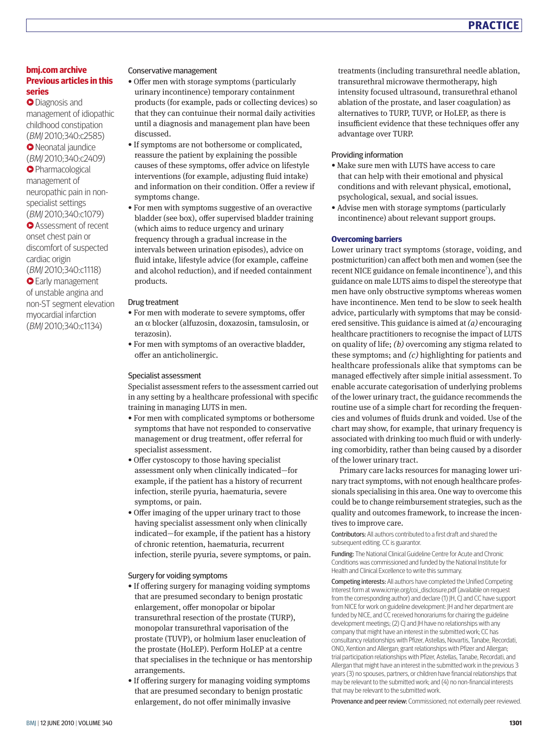#### **bmj.com archive Previous articles in this series**

 $\bullet$  Diagnosis and management of idiopathic childhood constipation (BMJ 2010;340:c2585) **O** Neonatal jaundice (BMJ 2010;340:c2409) **•** Pharmacological management of neuropathic pain in nonspecialist settings (BMJ 2010;340:c1079) **Assessment of recent** onset chest pain or discomfort of suspected cardiac origin (BMJ 2010;340:c1118) **C** Early management of unstable angina and non-ST segment elevation

myocardial infarction (BMJ 2010;340:c1134)

urinary incontinence) temporary containment products (for example, pads or collecting devices) so that they can contuinue their normal daily activities until a diagnosis and management plan have been discussed.

• Offer men with storage symptoms (particularly

Conservative management

- If symptoms are not bothersome or complicated, reassure the patient by explaining the possible causes of these symptoms, offer advice on lifestyle interventions (for example, adjusting fluid intake) and information on their condition. Offer a review if symptoms change.
- For men with symptoms suggestive of an overactive bladder (see box), offer supervised bladder training (which aims to reduce urgency and urinary frequency through a gradual increase in the intervals between urination episodes), advice on fluid intake, lifestyle advice (for example, caffeine and alcohol reduction), and if needed containment products.

#### Drug treatment

- For men with moderate to severe symptoms, offer an α blocker (alfuzosin, doxazosin, tamsulosin, or terazosin).
- For men with symptoms of an overactive bladder, offer an anticholinergic.

#### Specialist assessment

Specialist assessment refers to the assessment carried out in any setting by a healthcare professional with specific training in managing LUTS in men.

- For men with complicated symptoms or bothersome symptoms that have not responded to conservative management or drug treatment, offer referral for specialist assessment.
- Offer cystoscopy to those having specialist assessment only when clinically indicated—for example, if the patient has a history of recurrent infection, sterile pyuria, haematuria, severe symptoms, or pain.
- Offer imaging of the upper urinary tract to those having specialist assessment only when clinically indicated—for example, if the patient has a history of chronic retention, haematuria, recurrent infection, sterile pyuria, severe symptoms, or pain.

#### Surgery for voiding symptoms

- If offering surgery for managing voiding symptoms that are presumed secondary to benign prostatic enlargement, offer monopolar or bipolar transurethral resection of the prostate (TURP), monopolar transurethral vaporisation of the prostate (TUVP), or holmium laser enucleation of the prostate (HoLEP). Perform HoLEP at a centre that specialises in the technique or has mentorship arrangements.
- If offering surgery for managing voiding symptoms that are presumed secondary to benign prostatic enlargement, do not offer minimally invasive

treatments (including transurethral needle ablation, transurethral microwave thermotherapy, high intensity focused ultrasound, transurethral ethanol ablation of the prostate, and laser coagulation) as alternatives to TURP, TUVP, or HoLEP, as there is insufficient evidence that these techniques offer any advantage over TURP.

#### Providing information

- Make sure men with LUTS have access to care that can help with their emotional and physical conditions and with relevant physical, emotional, psychological, sexual, and social issues.
- Advise men with storage symptoms (particularly incontinence) about relevant support groups.

#### **Overcoming barriers**

Lower urinary tract symptoms (storage, voiding, and postmicturition) can affect both men and women (see the recent NICE guidance on female incontinence<sup>7</sup>), and this guidance on male LUTS aims to dispel the stereotype that men have only obstructive symptoms whereas women have incontinence. Men tend to be slow to seek health advice, particularly with symptoms that may be considered sensitive. This guidance is aimed at *(a)* encouraging healthcare practitioners to recognise the impact of LUTS on quality of life; *(b)* overcoming any stigma related to these symptoms; and *(c)* highlighting for patients and healthcare professionals alike that symptoms can be managed effectively after simple initial assessment. To enable accurate categorisation of underlying problems of the lower urinary tract, the guidance recommends the routine use of a simple chart for recording the frequencies and volumes of fluids drunk and voided. Use of the chart may show, for example, that urinary frequency is associated with drinking too much fluid or with underlying comorbidity, rather than being caused by a disorder of the lower urinary tract.

Primary care lacks resources for managing lower urinary tract symptoms, with not enough healthcare professionals specialising in this area. One way to overcome this could be to change reimbursement strategies, such as the quality and outcomes framework, to increase the incentives to improve care.

Contributors: All authors contributed to a first draft and shared the subsequent editing. CC is guarantor.

Funding: The National Clinical Guideline Centre for Acute and Chronic Conditions was commissioned and funded by the National Institute for Health and Clinical Excellence to write this summary.

Competing interests: All authors have completed the Unified Competing Interest form at www.icmje.org/coi\_disclosure.pdf (available on request from the corresponding author) and declare (1) JH, CJ and CC have support from NICE for work on guideline development: JH and her department are funded by NICE, and CC received honorariums for chairing the guideline development meetings; (2) CI and IH have no relationships with any company that might have an interest in the submitted work; CC has consultancy relationships with Pfizer, Astellas, Novartis, Tanabe, Recordati, ONO, Xention and Allergan; grant relationships with Pfizer and Allergan; trial participation relationships with Pfizer, Astellas, Tanabe, Recordati, and Allergan that might have an interest in the submitted work in the previous 3 years (3) no spouses, partners, or children have financial relationships that may be relevant to the submitted work; and (4) no non-financial interests that may be relevant to the submitted work.

Provenance and peer review: Commissioned; not externally peer reviewed.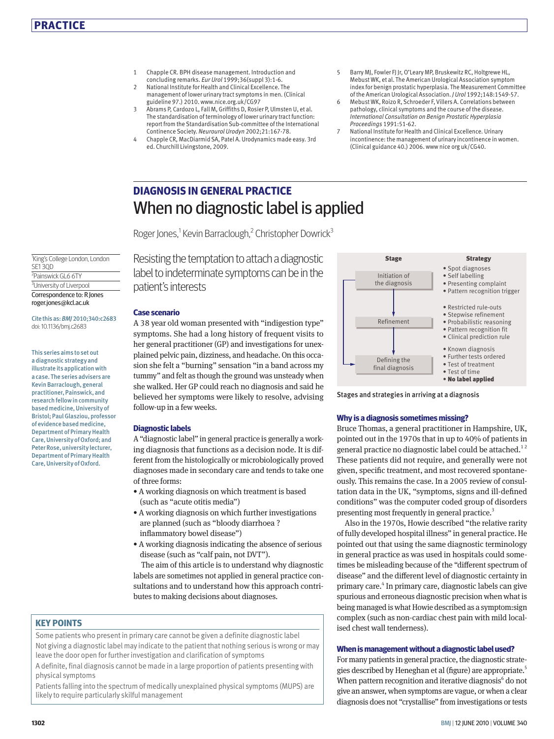- 1 Chapple CR. BPH disease management. Introduction and concluding remarks. *Eur Urol* 1999;36(suppl 3):1-6.
- 2 National Institute for Health and Clinical Excellence. The management of lower urinary tract symptoms in men. (Clinical guideline 97.) 2010. www.nice.org.uk/CG97
- 3 Abrams P, Cardozo L, Fall M, Griffiths D, Rosier P, Ulmsten U, et al. The standardisation of terminology of lower urinary tract function: report from the Standardisation Sub-committee of the International Continence Society. *Neurourol Urodyn* 2002;21:167-78.
- 4 Chapple CR, MacDiarmid SA, Patel A. Urodynamics made easy. 3rd ed. Churchill Livingstone, 2009.
- 5 Barry MJ, Fowler FJ Jr, O'Leary MP, Bruskewitz RC, Holtgrewe HL, Mebust WK, et al. The American Urological Association symptom index for benign prostatic hyperplasia. The Measurement Committee of the American Urological Association. *J Urol* 1992;148:1549-57.
- 6 Mebust WK, Roizo R, Schroeder F, Villers A. Correlations between pathology, clinical symptoms and the course of the disease. *International Consultation on Benign Prostatic Hyperplasia Proceedings* 1991:51-62.
- 7 National Institute for Health and Clinical Excellence. Urinary incontinence: the management of urinary incontinence in women. (Clinical guidance 40.) 2006. www nice org uk/CG40.

# **Diagnosis in General Practice** When no diagnostic label is applied

Roger Jones,<sup>1</sup> Kevin Barraclough,<sup>2</sup> Christopher Dowrick<sup>3</sup>

<sup>1</sup>King's College London, London SE1 3QD 2 Painswick GL6 6TY <sup>3</sup>University of Liverpool Correspondence to: R Jones roger.jones@kcl.ac.uk

Cite this as: *BMJ* 2010;340:c2683 doi: 10.1136/bmj.c2683

This series aims to set out a diagnostic strategy and illustrate its application with a case. The series advisers are Kevin Barraclough, general practitioner, Painswick, and research fellow in community based medicine, University of Bristol; Paul Glasziou, professor of evidence based medicine, Department of Primary Health Care, University of Oxford; and Peter Rose, university lecturer, Department of Primary Health Care, University of Oxford.

Resisting the temptation to attach a diagnostic label to indeterminate symptoms can be in the patient's interests

#### **Case scenario**

A 38 year old woman presented with "indigestion type" symptoms. She had a long history of frequent visits to her general practitioner (GP) and investigations for unexplained pelvic pain, dizziness, and headache. On this occasion she felt a "burning" sensation "in a band across my tummy" and felt as though the ground was unsteady when she walked. Her GP could reach no diagnosis and said he believed her symptoms were likely to resolve, advising follow-up in a few weeks.

#### **Diagnostic labels**

A "diagnostic label" in general practice is generally a working diagnosis that functions as a decision node. It is different from the histologically or microbiologically proved diagnoses made in secondary care and tends to take one of three forms:

- A working diagnosis on which treatment is based (such as "acute otitis media")
- A working diagnosis on which further investigations are planned (such as "bloody diarrhoea ? inflammatory bowel disease")
- A working diagnosis indicating the absence of serious disease (such as "calf pain, not DVT").

The aim of this article is to understand why diagnostic labels are sometimes not applied in general practice consultations and to understand how this approach contributes to making decisions about diagnoses.

#### **Key points**

Some patients who present in primary care cannot be given a definite diagnostic label Not giving a diagnostic label may indicate to the patient that nothing serious is wrong or may leave the door open for further investigation and clarification of symptoms

A definite, final diagnosis cannot be made in a large proportion of patients presenting with physical symptoms

Patients falling into the spectrum of medically unexplained physical symptoms (MUPS) are likely to require particularly skilful management



Stages and strategies in arriving at a diagnosis

#### **Why is a diagnosis sometimes missing?**

Bruce Thomas, a general practitioner in Hampshire, UK, pointed out in the 1970s that in up to 40% of patients in general practice no diagnostic label could be attached.<sup>12</sup> These patients did not require, and generally were not given, specific treatment, and most recovered spontaneously. This remains the case. In a 2005 review of consultation data in the UK, "symptoms, signs and ill-defined conditions" was the computer coded group of disorders presenting most frequently in general practice.<sup>3</sup>

Also in the 1970s, Howie described "the relative rarity of fully developed hospital illness" in general practice. He pointed out that using the same diagnostic terminology in general practice as was used in hospitals could sometimes be misleading because of the "different spectrum of disease" and the different level of diagnostic certainty in primary care.<sup>4</sup> In primary care, diagnostic labels can give spurious and erroneous diagnostic precision when what is being managed is what Howie described as a symptom:sign complex (such as non-cardiac chest pain with mild localised chest wall tenderness).

#### **When is management without a diagnostic label used?**

For many patients in general practice, the diagnostic strategies described by Heneghan et al (figure) are appropriate.<sup>5</sup> When pattern recognition and iterative diagnosis<sup>6</sup> do not give an answer, when symptoms are vague, or when a clear diagnosis does not "crystallise" from investigations or tests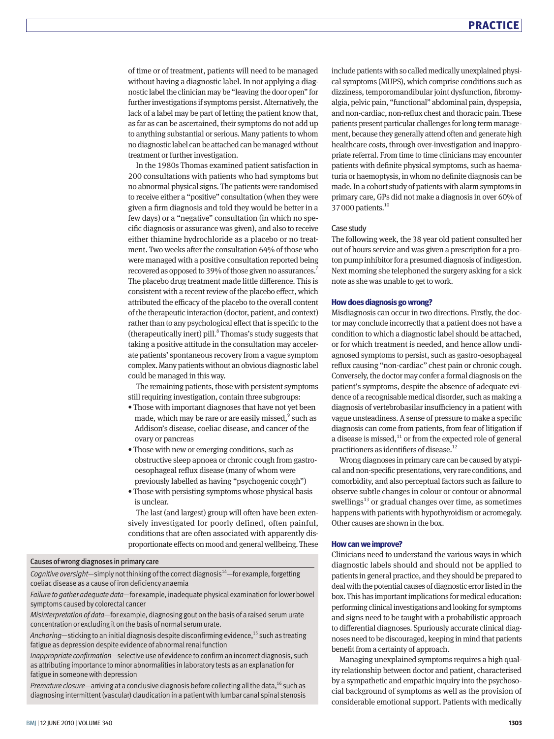of time or of treatment, patients will need to be managed without having a diagnostic label. In not applying a diagnostic label the clinician may be "leaving the door open" for further investigations if symptoms persist. Alternatively, the lack of a label may be part of letting the patient know that, as far as can be ascertained, their symptoms do not add up to anything substantial or serious. Many patients to whom no diagnostic label can be attached can be managed without treatment or further investigation.

In the 1980s Thomas examined patient satisfaction in 200 consultations with patients who had symptoms but no abnormal physical signs. The patients were randomised to receive either a "positive" consultation (when they were given a firm diagnosis and told they would be better in a few days) or a "negative" consultation (in which no specific diagnosis or assurance was given), and also to receive either thiamine hydrochloride as a placebo or no treatment. Two weeks after the consultation 64% of those who were managed with a positive consultation reported being recovered as opposed to 39% of those given no assurances. The placebo drug treatment made little difference. This is consistent with a recent review of the placebo effect, which attributed the efficacy of the placebo to the overall content of the therapeutic interaction (doctor, patient, and context) rather than to any psychological effect that is specific to the (therapeutically inert) pill.<sup>8</sup> Thomas's study suggests that taking a positive attitude in the consultation may accelerate patients' spontaneous recovery from a vague symptom complex. Many patients without an obvious diagnostic label could be managed in this way.

The remaining patients, those with persistent symptoms still requiring investigation, contain three subgroups:

- Those with important diagnoses that have not yet been made, which may be rare or are easily missed,<sup>9</sup> such as Addison's disease, coeliac disease, and cancer of the ovary or pancreas
- Those with new or emerging conditions, such as obstructive sleep apnoea or chronic cough from gastrooesophageal reflux disease (many of whom were previously labelled as having "psychogenic cough")
- Those with persisting symptoms whose physical basis is unclear.

The last (and largest) group will often have been extensively investigated for poorly defined, often painful, conditions that are often associated with apparently disproportionate effects on mood and general wellbeing. These

#### Causes of wrong diagnoses in primary care

*Cognitive oversight*—simply not thinking of the correct diagnosis<sup>14</sup>—for example, forgetting coeliac disease as a cause of iron deficiency anaemia

*Failure to gather adequate data*—for example, inadequate physical examination for lower bowel symptoms caused by colorectal cancer

*Misinterpretation of data*—for example, diagnosing gout on the basis of a raised serum urate concentration or excluding it on the basis of normal serum urate.

Anchoring-sticking to an initial diagnosis despite disconfirming evidence,<sup>15</sup> such as treating fatigue as depression despite evidence of abnormal renal function

*Inappropriate confirmation*—selective use of evidence to confirm an incorrect diagnosis, such as attributing importance to minor abnormalities in laboratory tests as an explanation for fatigue in someone with depression

*Premature closure—arriving at a conclusive diagnosis before collecting all the data*,<sup>16</sup> such as diagnosing intermittent (vascular) claudication in a patient with lumbar canal spinal stenosis include patients with so called medically unexplained physical symptoms (MUPS), which comprise conditions such as dizziness, temporomandibular joint dysfunction, fibromyalgia, pelvic pain, "functional" abdominal pain, dyspepsia, and non-cardiac, non-reflux chest and thoracic pain. These patients present particular challenges for long term management, because they generally attend often and generate high healthcare costs, through over-investigation and inappropriate referral. From time to time clinicians may encounter patients with definite physical symptoms, such as haematuria or haemoptysis, in whom no definite diagnosis can be made. In a cohort study of patients with alarm symptoms in primary care, GPs did not make a diagnosis in over 60% of 37000 patients.10

#### Case study

The following week, the 38 year old patient consulted her out of hours service and was given a prescription for a proton pump inhibitor for a presumed diagnosis of indigestion. Next morning she telephoned the surgery asking for a sick note as she was unable to get to work.

#### **How does diagnosis go wrong?**

Misdiagnosis can occur in two directions. Firstly, the doctor may conclude incorrectly that a patient does not have a condition to which a diagnostic label should be attached, or for which treatment is needed, and hence allow undiagnosed symptoms to persist, such as gastro-oesophageal reflux causing "non-cardiac" chest pain or chronic cough. Conversely, the doctor may confer a formal diagnosis on the patient's symptoms, despite the absence of adequate evidence of a recognisable medical disorder, such as making a diagnosis of vertebrobasilar insufficiency in a patient with vague unsteadiness. A sense of pressure to make a specific diagnosis can come from patients, from fear of litigation if a disease is missed, $11$  or from the expected role of general practitioners as identifiers of disease.<sup>12</sup>

Wrong diagnoses in primary care can be caused by atypical and non-specific presentations, very rare conditions, and comorbidity, and also perceptual factors such as failure to observe subtle changes in colour or contour or abnormal swellings<sup>13</sup> or gradual changes over time, as sometimes happens with patients with hypothyroidism or acromegaly. Other causes are shown in the box.

#### **How can we improve?**

Clinicians need to understand the various ways in which diagnostic labels should and should not be applied to patients in general practice, and they should be prepared to deal with the potential causes of diagnostic error listed in the box. This has important implications for medical education: performing clinical investigations and looking for symptoms and signs need to be taught with a probabilistic approach to differential diagnoses. Spuriously accurate clinical diagnoses need to be discouraged, keeping in mind that patients benefit from a certainty of approach.

Managing unexplained symptoms requires a high quality relationship between doctor and patient, characterised by a sympathetic and empathic inquiry into the psychosocial background of symptoms as well as the provision of considerable emotional support. Patients with medically